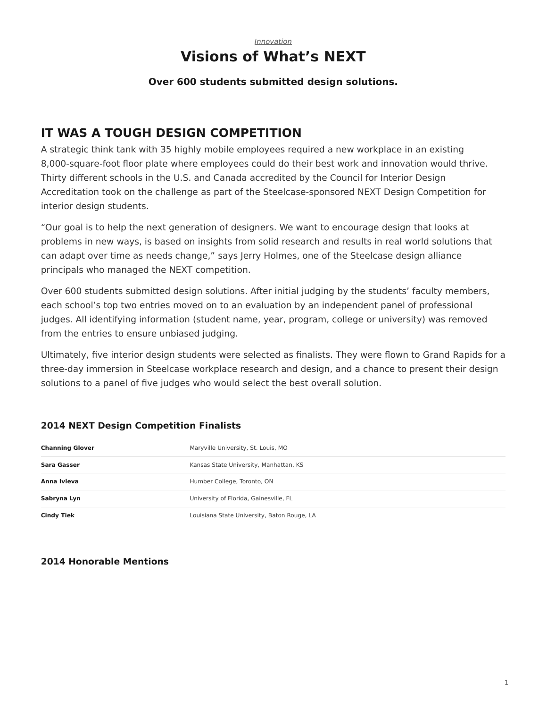#### *[Innovation](https://www.steelcase.com/asia-en/research/topics/innovation/)* **Visions of What's NEXT**

#### **Over 600 students submitted design solutions.**

## **IT WAS A TOUGH DESIGN COMPETITION**

A strategic think tank with 35 highly mobile employees required a new workplace in an existing 8,000-square-foot floor plate where employees could do their best work and innovation would thrive. Thirty different schools in the U.S. and Canada accredited by the Council for Interior Design Accreditation took on the challenge as part of the Steelcase-sponsored NEXT Design Competition for interior design students.

"Our goal is to help the next generation of designers. We want to encourage design that looks at problems in new ways, is based on insights from solid research and results in real world solutions that can adapt over time as needs change," says Jerry Holmes, one of the Steelcase design alliance principals who managed the NEXT competition.

Over 600 students submitted design solutions. After initial judging by the students' faculty members, each school's top two entries moved on to an evaluation by an independent panel of professional judges. All identifying information (student name, year, program, college or university) was removed from the entries to ensure unbiased judging.

Ultimately, five interior design students were selected as finalists. They were flown to Grand Rapids for a three-day immersion in Steelcase workplace research and design, and a chance to present their design solutions to a panel of five judges who would select the best overall solution.

## **Channing Glover** Maryville University, St. Louis, MO **Sara Gasser Kansas State University, Manhattan, KS** Anna Ivleva **Anna Ivleva Humber College, Toronto, ON Sabryna Lyn Example 20 Index 10 University of Florida, Gainesville, FL Cindy Tiek** Louisiana State University, Baton Rouge, LA

#### **2014 NEXT Design Competition Finalists**

#### **2014 Honorable Mentions**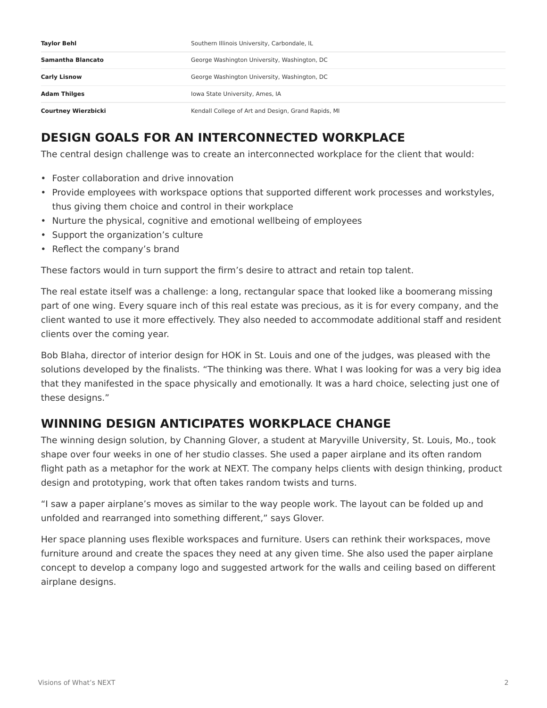| Taylor Behl                | Southern Illinois University, Carbondale, IL        |
|----------------------------|-----------------------------------------------------|
| Samantha Blancato          | George Washington University, Washington, DC        |
| <b>Carly Lisnow</b>        | George Washington University, Washington, DC        |
| <b>Adam Thilges</b>        | Iowa State University, Ames, IA                     |
| <b>Courtney Wierzbicki</b> | Kendall College of Art and Design, Grand Rapids, MI |

## **DESIGN GOALS FOR AN INTERCONNECTED WORKPLACE**

The central design challenge was to create an interconnected workplace for the client that would:

- Foster collaboration and drive innovation
- Provide employees with workspace options that supported different work processes and workstyles, thus giving them choice and control in their workplace
- Nurture the physical, cognitive and emotional wellbeing of employees
- Support the organization's culture
- Reflect the company's brand

These factors would in turn support the firm's desire to attract and retain top talent.

The real estate itself was a challenge: a long, rectangular space that looked like a boomerang missing part of one wing. Every square inch of this real estate was precious, as it is for every company, and the client wanted to use it more effectively. They also needed to accommodate additional staff and resident clients over the coming year.

Bob Blaha, director of interior design for HOK in St. Louis and one of the judges, was pleased with the solutions developed by the finalists. "The thinking was there. What I was looking for was a very big idea that they manifested in the space physically and emotionally. It was a hard choice, selecting just one of these designs."

## **WINNING DESIGN ANTICIPATES WORKPLACE CHANGE**

The winning design solution, by Channing Glover, a student at Maryville University, St. Louis, Mo., took shape over four weeks in one of her studio classes. She used a paper airplane and its often random flight path as a metaphor for the work at NEXT. The company helps clients with design thinking, product design and prototyping, work that often takes random twists and turns.

"I saw a paper airplane's moves as similar to the way people work. The layout can be folded up and unfolded and rearranged into something different," says Glover.

Her space planning uses flexible workspaces and furniture. Users can rethink their workspaces, move furniture around and create the spaces they need at any given time. She also used the paper airplane concept to develop a company logo and suggested artwork for the walls and ceiling based on different airplane designs.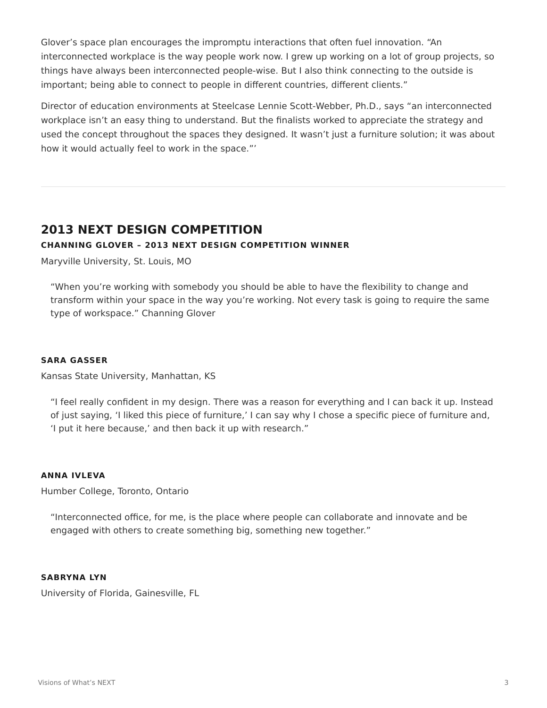Glover's space plan encourages the impromptu interactions that often fuel innovation. "An interconnected workplace is the way people work now. I grew up working on a lot of group projects, so things have always been interconnected people-wise. But I also think connecting to the outside is important; being able to connect to people in different countries, different clients."

Director of education environments at Steelcase Lennie Scott-Webber, Ph.D., says "an interconnected workplace isn't an easy thing to understand. But the finalists worked to appreciate the strategy and used the concept throughout the spaces they designed. It wasn't just a furniture solution; it was about how it would actually feel to work in the space."'

## **2013 NEXT DESIGN COMPETITION CHANNING GLOVER – 2013 NEXT DESIGN COMPETITION WINNER**

Maryville University, St. Louis, MO

"When you're working with somebody you should be able to have the flexibility to change and transform within your space in the way you're working. Not every task is going to require the same type of workspace." Channing Glover

#### **SARA GASSER**

Kansas State University, Manhattan, KS

"I feel really confident in my design. There was a reason for everything and I can back it up. Instead of just saying, 'I liked this piece of furniture,' I can say why I chose a specific piece of furniture and, 'I put it here because,' and then back it up with research."

#### **ANNA IVLEVA**

Humber College, Toronto, Ontario

"Interconnected office, for me, is the place where people can collaborate and innovate and be engaged with others to create something big, something new together."

#### **SABRYNA LYN**

University of Florida, Gainesville, FL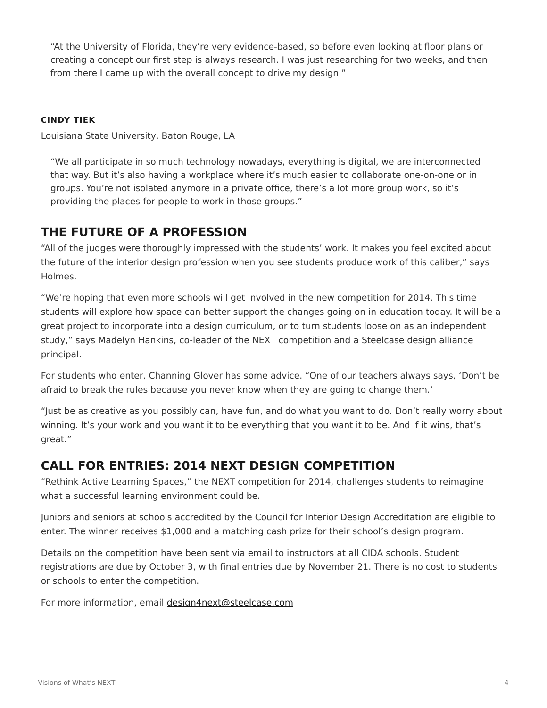"At the University of Florida, they're very evidence‑based, so before even looking at floor plans or creating a concept our first step is always research. I was just researching for two weeks, and then from there I came up with the overall concept to drive my design."

#### **CINDY TIEK**

Louisiana State University, Baton Rouge, LA

"We all participate in so much technology nowadays, everything is digital, we are interconnected that way. But it's also having a workplace where it's much easier to collaborate one-on-one or in groups. You're not isolated anymore in a private office, there's a lot more group work, so it's providing the places for people to work in those groups."

## **THE FUTURE OF A PROFESSION**

"All of the judges were thoroughly impressed with the students' work. It makes you feel excited about the future of the interior design profession when you see students produce work of this caliber," says Holmes.

"We're hoping that even more schools will get involved in the new competition for 2014. This time students will explore how space can better support the changes going on in education today. It will be a great project to incorporate into a design curriculum, or to turn students loose on as an independent study," says Madelyn Hankins, co-leader of the NEXT competition and a Steelcase design alliance principal.

For students who enter, Channing Glover has some advice. "One of our teachers always says, 'Don't be afraid to break the rules because you never know when they are going to change them.'

"Just be as creative as you possibly can, have fun, and do what you want to do. Don't really worry about winning. It's your work and you want it to be everything that you want it to be. And if it wins, that's great."

## **CALL FOR ENTRIES: 2014 NEXT DESIGN COMPETITION**

"Rethink Active Learning Spaces," the NEXT competition for 2014, challenges students to reimagine what a successful learning environment could be.

Juniors and seniors at schools accredited by the Council for Interior Design Accreditation are eligible to enter. The winner receives \$1,000 and a matching cash prize for their school's design program.

Details on the competition have been sent via email to instructors at all CIDA schools. Student registrations are due by October 3, with final entries due by November 21. There is no cost to students or schools to enter the competition.

For more information, email [design4next@steelcase.com](mailto:design4next@steelcase.com)